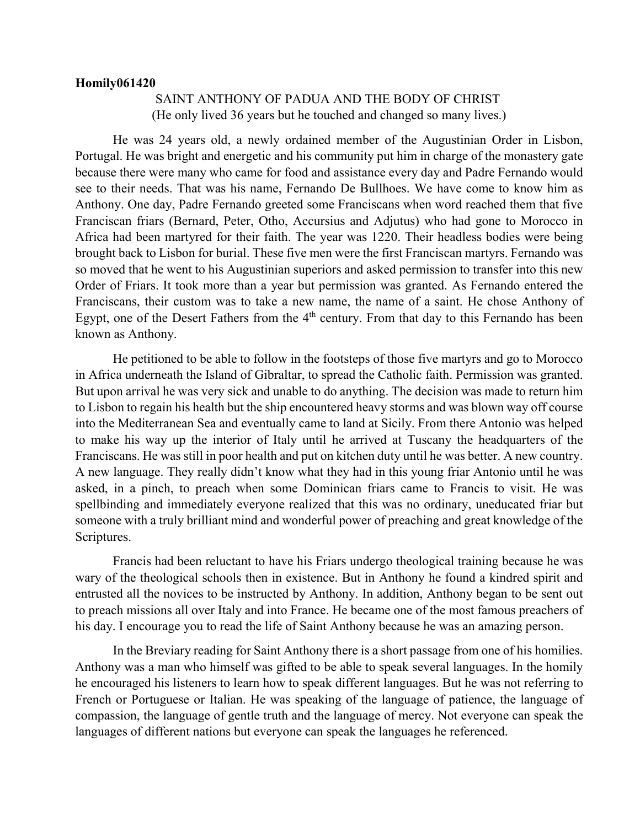## **Homily061420**

## SAINT ANTHONY OF PADUA AND THE BODY OF CHRIST (He only lived 36 years but he touched and changed so many lives.)

He was 24 years old, a newly ordained member of the Augustinian Order in Lisbon, Portugal. He was bright and energetic and his community put him in charge of the monastery gate because there were many who came for food and assistance every day and Padre Fernando would see to their needs. That was his name, Fernando De Bullhoes. We have come to know him as Anthony. One day, Padre Fernando greeted some Franciscans when word reached them that five Franciscan friars (Bernard, Peter, Otho, Accursius and Adjutus) who had gone to Morocco in Africa had been martyred for their faith. The year was 1220. Their headless bodies were being brought back to Lisbon for burial. These five men were the first Franciscan martyrs. Fernando was so moved that he went to his Augustinian superiors and asked permission to transfer into this new Order of Friars. It took more than a year but permission was granted. As Fernando entered the Franciscans, their custom was to take a new name, the name of a saint. He chose Anthony of Egypt, one of the Desert Fathers from the 4<sup>th</sup> century. From that day to this Fernando has been known as Anthony.

He petitioned to be able to follow in the footsteps of those five martyrs and go to Morocco in Africa underneath the Island of Gibraltar, to spread the Catholic faith. Permission was granted. But upon arrival he was very sick and unable to do anything. The decision was made to return him to Lisbon to regain his health but the ship encountered heavy storms and was blown way off course into the Mediterranean Sea and eventually came to land at Sicily. From there Antonio was helped to make his way up the interior of Italy until he arrived at Tuscany the headquarters of the Franciscans. He was still in poor health and put on kitchen duty until he was better. A new country. A new language. They really didn't know what they had in this young friar Antonio until he was asked, in a pinch, to preach when some Dominican friars came to Francis to visit. He was spellbinding and immediately everyone realized that this was no ordinary, uneducated friar but someone with a truly brilliant mind and wonderful power of preaching and great knowledge of the Scriptures.

Francis had been reluctant to have his Friars undergo theological training because he was wary of the theological schools then in existence. But in Anthony he found a kindred spirit and entrusted all the novices to be instructed by Anthony. In addition, Anthony began to be sent out to preach missions all over Italy and into France. He became one of the most famous preachers of his day. I encourage you to read the life of Saint Anthony because he was an amazing person.

In the Breviary reading for Saint Anthony there is a short passage from one of his homilies. Anthony was a man who himself was gifted to be able to speak several languages. In the homily he encouraged his listeners to learn how to speak different languages. But he was not referring to French or Portuguese or Italian. He was speaking of the language of patience, the language of compassion, the language of gentle truth and the language of mercy. Not everyone can speak the languages of different nations but everyone can speak the languages he referenced.